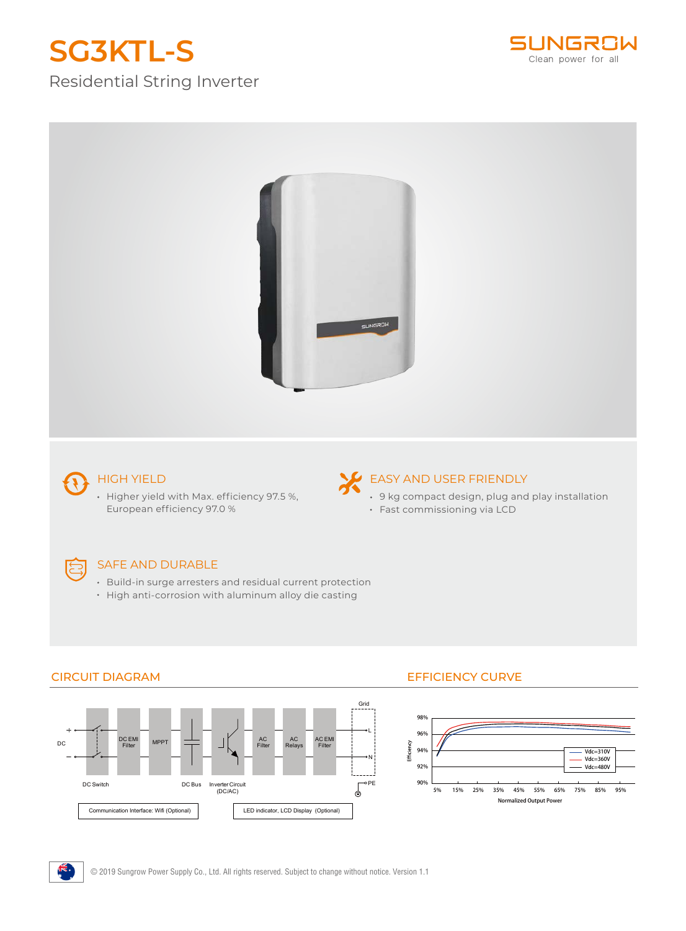# **SG3KTL-S**

Residential String Inverter





## HIGH YIELD

• Higher yield with Max. efficiency 97.5 %, European efficiency 97.0 %

## EASY AND USER FRIENDLY

- 9 kg compact design, plug and play installation
- Fast commissioning via LCD

## E

### SAFE AND DURABLE

- Build-in surge arresters and residual current protection
- High anti-corrosion with aluminum alloy die casting



## CIRCUIT DIAGRAM EFFICIENCY CURVE